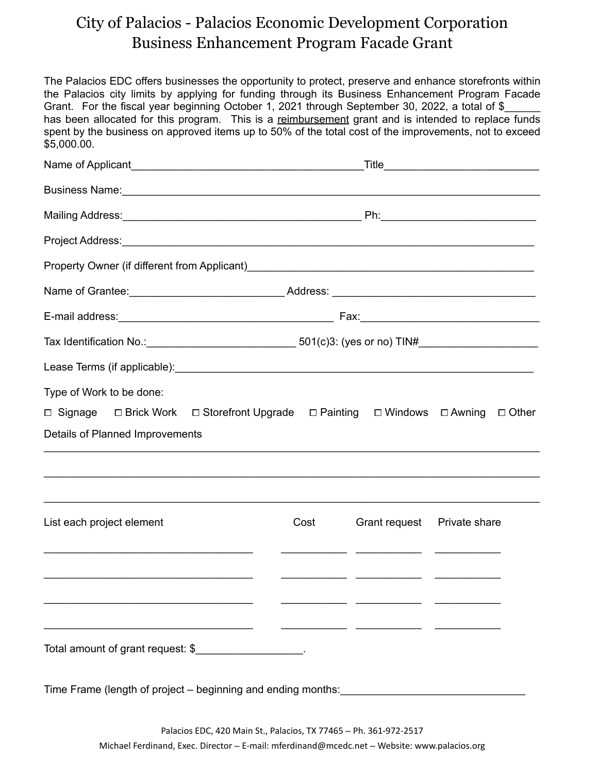## City of Palacios - Palacios Economic Development Corporation Business Enhancement Program Facade Grant

The Palacios EDC offers businesses the opportunity to protect, preserve and enhance storefronts within the Palacios city limits by applying for funding through its Business Enhancement Program Facade Grant. For the fiscal year beginning October 1, 2021 through September 30, 2022, a total of \$\_ has been allocated for this program. This is a reimbursement grant and is intended to replace funds spent by the business on approved items up to 50% of the total cost of the improvements, not to exceed \$5,000.00.

| Business Name: <b>Manual According to the Contract of According to the Contract of According to the Contract of According to the Contract of According to the Contract of According to the Contract of According to the Contract</b> |                                                                                                           |                                                                                                                        |  |
|--------------------------------------------------------------------------------------------------------------------------------------------------------------------------------------------------------------------------------------|-----------------------------------------------------------------------------------------------------------|------------------------------------------------------------------------------------------------------------------------|--|
|                                                                                                                                                                                                                                      |                                                                                                           |                                                                                                                        |  |
| Project Address: et al. and a series of the contract of the contract of the contract of the contract of the contract of the contract of the contract of the contract of the contract of the contract of the contract of the co       |                                                                                                           |                                                                                                                        |  |
|                                                                                                                                                                                                                                      |                                                                                                           |                                                                                                                        |  |
|                                                                                                                                                                                                                                      |                                                                                                           |                                                                                                                        |  |
|                                                                                                                                                                                                                                      |                                                                                                           |                                                                                                                        |  |
|                                                                                                                                                                                                                                      | Tax Identification No.: __________________________________501(c)3: (yes or no) TIN#______________________ |                                                                                                                        |  |
|                                                                                                                                                                                                                                      |                                                                                                           |                                                                                                                        |  |
| Type of Work to be done:<br>$\Box$ Signage $\Box$ Brick Work $\Box$ Storefront Upgrade $\Box$ Painting $\Box$ Windows $\Box$ Awning $\Box$ Other                                                                                     |                                                                                                           |                                                                                                                        |  |
| Details of Planned Improvements                                                                                                                                                                                                      |                                                                                                           |                                                                                                                        |  |
|                                                                                                                                                                                                                                      |                                                                                                           |                                                                                                                        |  |
|                                                                                                                                                                                                                                      |                                                                                                           |                                                                                                                        |  |
| List each project element                                                                                                                                                                                                            | Cost                                                                                                      | Grant request  Private share                                                                                           |  |
|                                                                                                                                                                                                                                      |                                                                                                           |                                                                                                                        |  |
|                                                                                                                                                                                                                                      |                                                                                                           | <u> 1989 - Jan James James, margaret amerikan basal dan menjadi bagian dalam bagian dalam bagian dalam bagian dala</u> |  |
|                                                                                                                                                                                                                                      |                                                                                                           |                                                                                                                        |  |
| Total amount of grant request: \$___________________.                                                                                                                                                                                |                                                                                                           |                                                                                                                        |  |
|                                                                                                                                                                                                                                      |                                                                                                           |                                                                                                                        |  |

Time Frame (length of project – beginning and ending months: